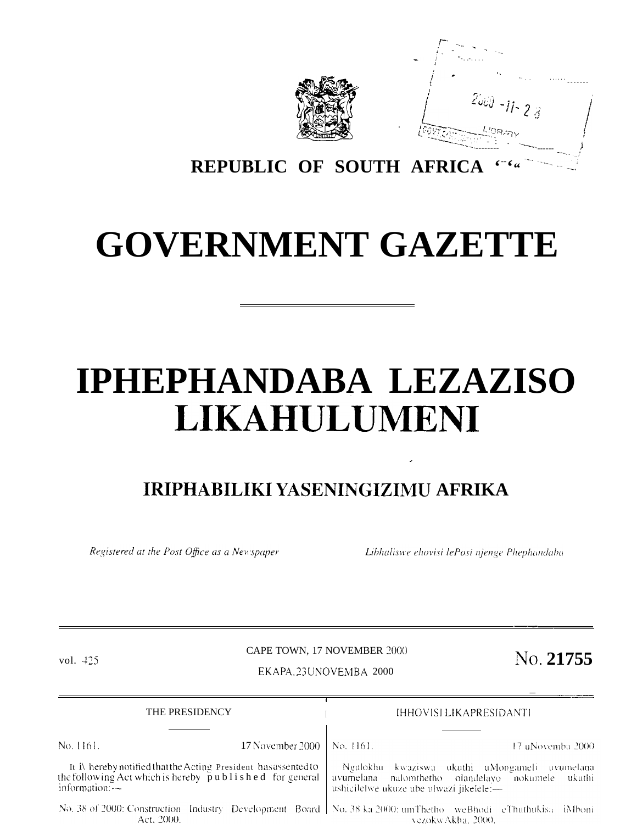

 $f^{-1}$  -  $f^{-1}$ *,". - -/* "-. .-. . . . t ,. /- ,, . . . . . . . . ------- <sup>t</sup> / :,. , i' <sup>~</sup> *Uu'j* **<sup>1</sup> ----**  $-11 - 28$  $\frac{1}{16007, cm}$  ,  $\frac{L/GBB/m}{m}$ ; "----L:.:':" -: . .-\_, <sup>i</sup> -------- ------ ;

**REPUBLIC OF SOUTH AFRICA '--'" '-"" '-- "~'**

# **GOVERNMENT GAZETTE**

# **IPHEPHANDABA LEZAZISO LIKAHUL'UMENI**

# **IRIPHABILIKI YASENINGIZIMU AFRIKA**

Registered at the Post Office as a Newspaper

Act, 2000.

Libhaliswe ehovisi lePosi njenge Phephandaba

vezokwAkha, 2000.

.

# CAPE TOWN, 17 NOVEMBER 2000

vol. 425 **No. 21755** 

—

## <sup>t</sup> — —.—.— THE PRESIDENCY IHHOVISI LIKAPRESIDANTI No. 1161. 17 November 2000 No. 1161. 17 uNovemba 2000 It i\ hereby notified that the Acting President has assented to Ngalokhu kwaziswa ukuthi uMongameli uvumelana the follow ing Act which is hereby  $\bar{p}$  u b l i s h e d for general uvumelana nalomthetho olandelayo nokumele ukuthi information: -ushicilelwe ukuze ube ulwazi jikelele:-No. 38 of 2000: Construction Industry Development Board No. 38 ka 2000; umThetho weBhodi eThuthukisa iMboni

EKAPA. 23 UNOVEMBA 2000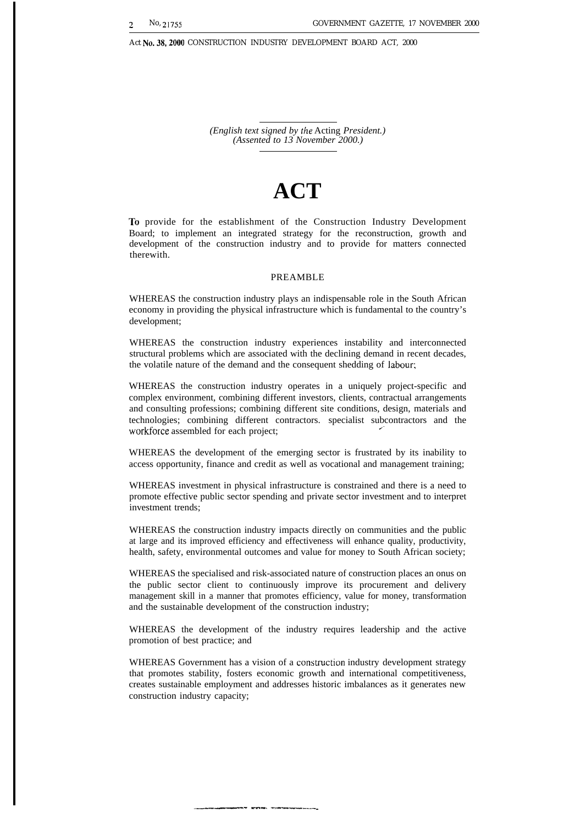Act No.38,2000 CONSTRUCTION INDUSTRY DEVELOPMENT BOARD ACT, 2000

*(English text signed by the* Acting *President.) (Assented to 13 November 2000.)*

# **ACT**

To provide for the establishment of the Construction Industry Development Board; to implement an integrated strategy for the reconstruction, growth and development of the construction industry and to provide for matters connected therewith.

# PREAMBLE

WHEREAS the construction industry plays an indispensable role in the South African economy in providing the physical infrastructure which is fundamental to the country's development;

WHEREAS the construction industry experiences instability and interconnected structural problems which are associated with the declining demand in recent decades, the volatile nature of the demand and the consequent shedding of Iabour;

WHEREAS the construction industry operates in a uniquely project-specific and complex environment, combining different investors, clients, contractual arrangements and consulting professions; combining different site conditions, design, materials and technologies; combining different contractors. specialist subcontractors and the workforce assembled for each project;

WHEREAS the development of the emerging sector is frustrated by its inability to access opportunity, finance and credit as well as vocational and management training;

WHEREAS investment in physical infrastructure is constrained and there is a need to promote effective public sector spending and private sector investment and to interpret investment trends;

WHEREAS the construction industry impacts directly on communities and the public at large and its improved efficiency and effectiveness will enhance quality, productivity, health, safety, environmental outcomes and value for money to South African society;

WHEREAS the specialised and risk-associated nature of construction places an onus on the public sector client to continuously improve its procurement and delivery management skill in a manner that promotes efficiency, value for money, transformation and the sustainable development of the construction industry;

WHEREAS the development of the industry requires leadership and the active promotion of best practice; and

WHEREAS Government has a vision of a construction industry development strategy that promotes stability, fosters economic growth and international competitiveness, creates sustainable employment and addresses historic imbalances as it generates new construction industry capacity;

,.\_,—.. --,, ,.,-- —.,.". ..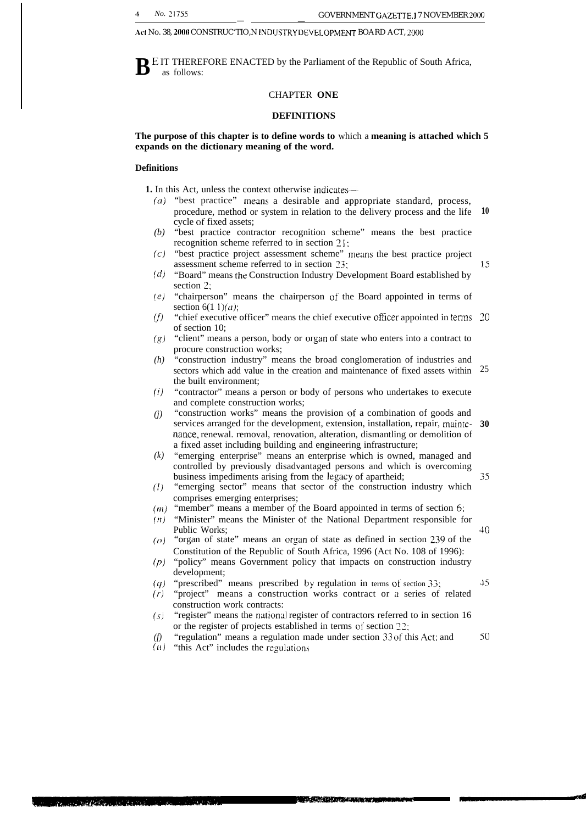Act No. 38, 2000 CONSTRUC'TIO, NINDUSTRY DEVELOPMENT BOARD ACT, 2000

**B** E IT THEREFORE ENACTED by the Parliament of the Republic of South Africa, as follows: as follows:

# CHAPTER **ONE**

# **DEFINITIONS**

**The purpose of this chapter is to define words to** which a **meaning is attached which 5 expands on the dictionary meaning of the word.**

# **Definitions**

**1.** In this Act, unless the context otherwise indicates—-

- (a) "best practice" means a desirable and appropriate standard, process, procedure, method or system in relation to the delivery process and the life **10** cycle of fixed assets;
- *(b)* "best practice contractor recognition scheme" means the best practice recognition scheme referred to in section 21:
- (c) "best practice project assessment scheme" means the best practice project assessment scheme referred to in section ?3;
- *(d)* "Board" means the Construction Industry Development Board established by section 2;
- *(e)* "chairperson" means the chairperson of the Board appointed in terms of section  $6(1 \t1)(a)$ ;
- *(J)* "chief executive officer" means the chief executive officer appointed in terms 20 of section 10;
- *(g)* "client" means a person, body or organ of state who enters into a contract to procure construction works;
- *(h)* "construction industry" means the broad conglomeration of industries and sectors which add value in the creation and maintenance of fixed assets within 25 the built environment;
- *(i)* "contractor" means a person or body of persons who undertakes to execute and complete construction works;
- *(j)* "construction works" means the provision of a combination of goods and services arranged for the development, extension, installation, repair, mainte-**30** nance, renewal. removal, renovation, alteration, dismantling or demolition of a fixed asset including building and engineering infrastructure;
- *(k)* "emerging enterprise" means an enterprise which is owned, managed and controlled by previously disadvantaged persons and which is overcoming business impediments arising from the legacy of apartheid;
- *(1)* "emerging sector" means that sector of the construction industry which comprises emerging enterprises;
- *(m)* "member" means a member of the Board appointed in terms of section 6:
- *(n)* "Minister" means the Minister of the National Department responsible for Public Works;
- *(0)* "organ of state" means an organ of state as defined in section 239 of the Constitution of the Republic of South Africa, 1996 (Act No. 108 of 1996):
- *(p)* "policy" means Government policy that impacts on construction industry development;
- *(q)* "prescribed" means prescribed by regulation in terms of section 33;
- (r) "project" means a construction works contract or a series of related construction work contracts:
- $(s)$ "register" means the national register of contractors referred to in section 16 or the register of projects established in terms of section 22;
- *(f)* "regulation" means a regulation made under section 33 of this Act: and **50**

AND ACTIVITY IN A REPORT

 $(u)$  "this Act" includes the regulations

on and million in the con

**45**

**35**

**40**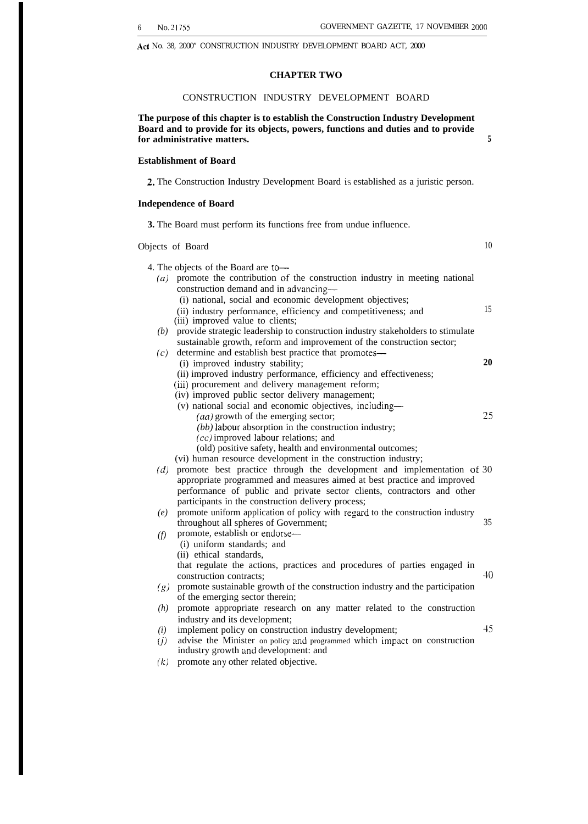10

Act No. 38, 2000" CONSTRUCTION INDUSTRY DEVELOPMENT BOARD ACT, 2000

# **CHAPTER TWO**

# CONSTRUCTION INDUSTRY DEVELOPMENT BOARD

**The purpose of this chapter is to establish the Construction Industry Development Board and to provide for its objects, powers, functions and duties and to provide for administrative matters. 5**

# **Establishment of Board**

**2.** The Construction Industry Development Board is established as a juristic person.

# **Independence of Board**

**3.** The Board must perform its functions free from undue influence.

Objects of Board

- 4. The objects of the Board are to—
	- *(a)* promote the contribution of the construction industry in meeting national construction demand and in advancing—
		- (i) national, social and economic development objectives;
		- (ii) industry performance, efficiency and competitiveness; and 15
		- (iii) improved value to clients;
	- *(b)* provide strategic leadership to construction industry stakeholders to stimulate sustainable growth, reform and improvement of the construction sector;
	- *(c)* determine and establish best practice that promotes—
		- (i) improved industry stability; **20**
		- (ii) improved industry performance, efficiency and effectiveness;
		- (iii) procurement and delivery management reform;
		- (iv) improved public sector delivery management;
		- (v) national social and economic objectives, including—
			- $(aa)$  growth of the emerging sector; 25
			- *(bb)* labour absorption in the construction industry;
			- (cc) improved Iabour relations; and
			- (old) positive safety, health and environmental outcomes;
		- (vi) human resource development in the construction industry;
	- *(d)* promote best practice through the development and implementation of 30 appropriate programmed and measures aimed at best practice and improved performance of public and private sector clients, contractors and other participants in the construction delivery process;
	- *(e)* promote uniform application of policy with regard to the construction industry throughout all spheres of Government; 35
	- *(f)* promote, establish or endorse—
		- (i) uniform standards; and
		- (ii) ethical standards,

that regulate the actions, practices and procedures of parties engaged in construction contracts; **40** 

- *(g)* promote sustainable growth of the construction industry and the participation of the emerging sector therein;
- *(h)* promote appropriate research on any matter related to the construction industry and its development;
- *(i)* implement policy on construction industry development; 45
- *(j)* advise the Minister on policy and programmed which imPact on construction industry growth and development: and
- *(k)* promote any other related objective.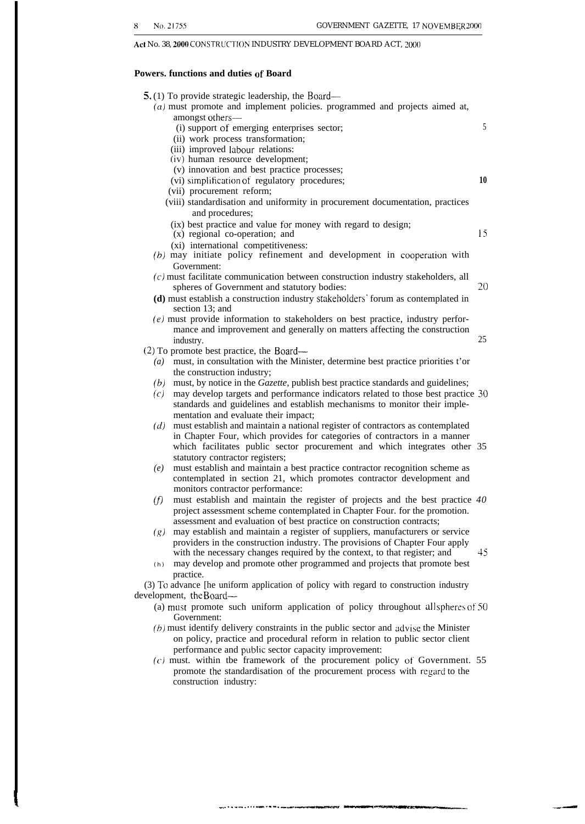Act No. 38, 2000 CONSTRUCTION INDUSTRY DEVELOPMENT BOARD ACT,  $2000\,$ 

# **Powers. functions and duties of Board**

| 5. (1) To provide strategic leadership, the Board—<br>$(a)$ must promote and implement policies. programmed and projects aimed at,                           |    |
|--------------------------------------------------------------------------------------------------------------------------------------------------------------|----|
| amongst others-                                                                                                                                              |    |
| (i) support of emerging enterprises sector;                                                                                                                  | 5  |
| (ii) work process transformation;                                                                                                                            |    |
| (iii) improved labour relations:<br>(iv) human resource development;                                                                                         |    |
| (v) innovation and best practice processes;                                                                                                                  |    |
| (vi) simplification of regulatory procedures;                                                                                                                | 10 |
| (vii) procurement reform;                                                                                                                                    |    |
| (viii) standardisation and uniformity in procurement documentation, practices                                                                                |    |
| and procedures;                                                                                                                                              |    |
| (ix) best practice and value for money with regard to design;                                                                                                |    |
| (x) regional co-operation; and                                                                                                                               | 15 |
| (xi) international competitiveness:                                                                                                                          |    |
| (b) may initiate policy refinement and development in cooperation with                                                                                       |    |
| Government:<br>$(c)$ must facilitate communication between construction industry stakeholders, all                                                           |    |
| spheres of Government and statutory bodies:                                                                                                                  | 20 |
| (d) must establish a construction industry stakeholders' forum as contemplated in                                                                            |    |
| section 13; and                                                                                                                                              |    |
| $(e)$ must provide information to stakeholders on best practice, industry perfor-                                                                            |    |
| mance and improvement and generally on matters affecting the construction                                                                                    |    |
| industry.                                                                                                                                                    | 25 |
| $(2)$ To promote best practice, the Board—                                                                                                                   |    |
| must, in consultation with the Minister, determine best practice priorities t'or<br>$\left( a\right)$<br>the construction industry;                          |    |
| must, by notice in the Gazette, publish best practice standards and guidelines;<br>(b)                                                                       |    |
| may develop targets and performance indicators related to those best practice 30<br>(c)                                                                      |    |
| standards and guidelines and establish mechanisms to monitor their imple-                                                                                    |    |
| mentation and evaluate their impact;                                                                                                                         |    |
| must establish and maintain a national register of contractors as contemplated<br>(d)                                                                        |    |
| in Chapter Four, which provides for categories of contractors in a manner                                                                                    |    |
| which facilitates public sector procurement and which integrates other 35                                                                                    |    |
| statutory contractor registers;                                                                                                                              |    |
| must establish and maintain a best practice contractor recognition scheme as<br>(e)<br>contemplated in section 21, which promotes contractor development and |    |
| monitors contractor performance:                                                                                                                             |    |
| must establish and maintain the register of projects and the best practice 40<br>(f)                                                                         |    |
| project assessment scheme contemplated in Chapter Four. for the promotion.                                                                                   |    |
| assessment and evaluation of best practice on construction contracts;                                                                                        |    |
| $(g)$ may establish and maintain a register of suppliers, manufacturers or service                                                                           |    |
| providers in the construction industry. The provisions of Chapter Four apply                                                                                 |    |
| with the necessary changes required by the context, to that register; and                                                                                    | 45 |
| may develop and promote other programmed and projects that promote best<br>(h)<br>practice.                                                                  |    |
| (3) To advance [he uniform application of policy with regard to construction industry                                                                        |    |
| development, the Board—                                                                                                                                      |    |
| (a) must promote such uniform application of policy throughout all spheres of 50                                                                             |    |
| Government:                                                                                                                                                  |    |
| $(b)$ must identify delivery constraints in the public sector and advise the Minister                                                                        |    |
| on policy, practice and procedural reform in relation to public sector client                                                                                |    |
| performance and public sector capacity improvement:                                                                                                          |    |
| $(c)$ must. within the framework of the procurement policy of Government. 55<br>promote the standardisation of the procurement process with regard to the    |    |
| construction industry:                                                                                                                                       |    |
|                                                                                                                                                              |    |

—.. . . . .. . . . .. . .. -.-.,—..--,——-~— \_—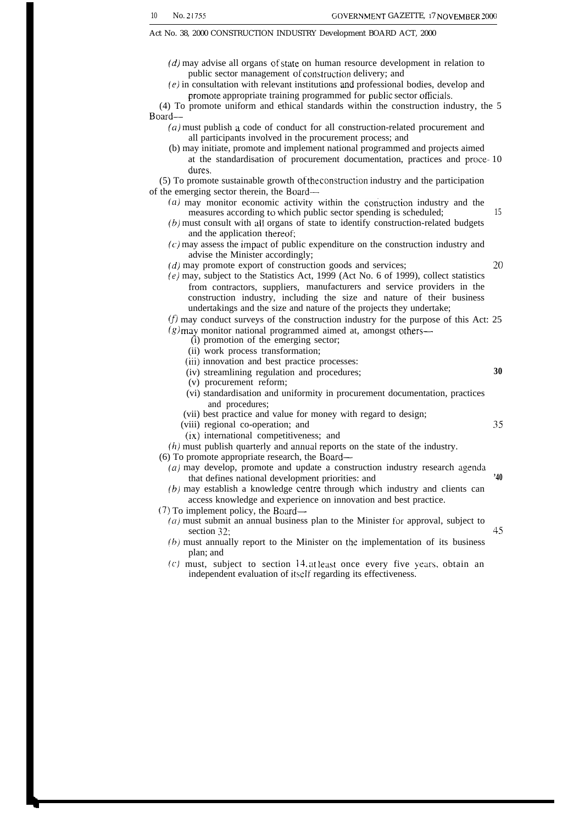**30**

35

Act No. 38, 2000 CONSTRUCTION INDUSTRY Development BOARD ACT, 2000

- (d) may advise all organs of state on human resource development in relation to public sector management of construction delivery; and
- (e) in consultation with relevant institutions and professional bodies, develop and promote appropriate training programmed for public sector officials.

(4) To promote uniform and ethical standards within the construction industry, the 5 Board—

- (a) must publish a code of conduct for all construction-related procurement and all participants involved in the procurement process; and
- (b) may initiate, promote and implement national programmed and projects aimed at the standardisation of procurement documentation, practices and proce- 10 dures.

(5) To promote sustainable growth *of the construction* industry and the participation of the emerging sector therein, the Board—

- $(a)$  may monitor economic activity within the construction industry and the measures according to which public sector spending is scheduled; 15
- (b) must consult with ail organs of state to identify construction-related budgets and the application thereof;
- $(c)$  may assess the impact of public expenditure on the construction industry and advise the Minister accordingly;
- $(d)$  may promote export of construction goods and services;  $20$
- [e) may, subject to the Statistics Act, 1999 (Act No. 6 of 1999), collect statistics from contractors, suppliers, manufacturers and service providers in the construction industry, including the size and nature of their business undertakings and the size and nature of the projects they undertake;

 $(f)$  may conduct surveys of the construction industry for the purpose of this Act: 25  $(g)$  may monitor national programmed aimed at, amongst others—

(i) promotion of the emerging sector;

- (ii) work process transformation;
- (iii) innovation and best practice processes:
- (iv) streamlining regulation and procedures;
- (v) procurement reform;
- (vi) standardisation and uniformity in procurement documentation, practices and procedures;
- (vii) best practice and value for money with regard to design;
- (viii) regional co-operation; and
- (ix) international competitiveness; and
- $(h)$  must publish quarterly and annual reports on the state of the industry.
- (6) To promote appropriate research, the Board—
	- $(a)$  may develop, promote and update a construction industry research agenda that defines national development priorities: and **'40**
	- **(b)** may establish a knowledge centre through which industry and clients can access knowledge and experience on innovation and best practice.
- $(7)$  To implement policy, the Board—
	- (*a*) must submit an annual business plan to the Minister for approval, subject to section 32;  $45$
	- (b) must annually report to the Minister on the implementation of its business plan; and
	- (c) must, subject to section 14. at least once every five years, obtain an independent evaluation of itself regarding its effectiveness.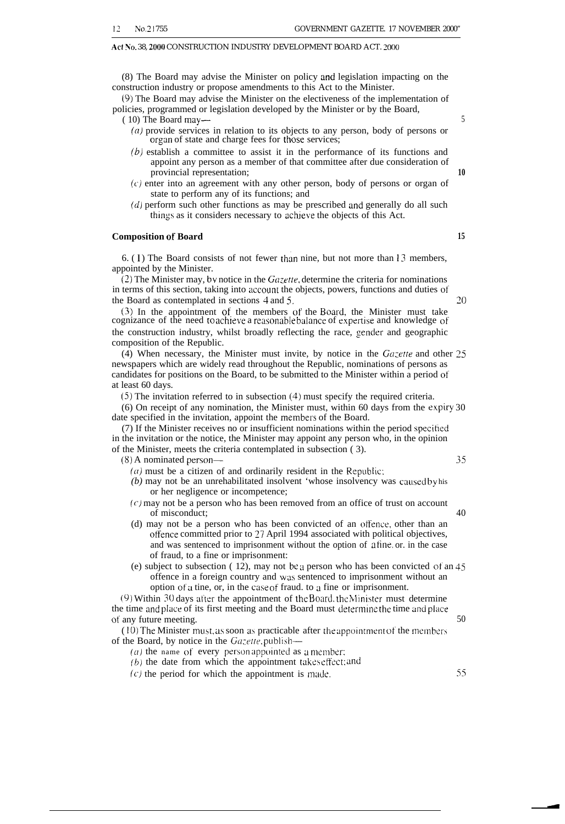# Act No. 38, 2000 CONSTRUCTION INDUSTRY DEVELOPMENT BOARD ACT. 2000

(8) The Board may advise the Minister on policy and legislation impacting on the construction industry or propose amendments to this Act to the Minister.

(9) The Board may advise the Minister on the electiveness of the implementation of policies, programmed or legislation developed by the Minister or by the Board,

- ( 10) The Board may— 5
	- (a) provide services in relation to its objects to any person, body of persons or organ of state and charge fees for those services;
	- (b) establish a committee to assist it in the performance of its functions and appoint any person as a member of that committee after due consideration of provincial representation; **10**
	- **(c)** enter into an agreement with any other person, body of persons or organ of state to perform any of its functions; and
	- (d) perform such other functions as may be prescribed and generally do all such things as it considers necessary to achieve the objects of this Act.

# **Composition of Board 15**

6. (1) The Board consists of not fewer than nine, but not more than 13 members, appointed by the Minister.

(2) The Minister may, bv notice in the *Ca:ette,* determine the criteria for nominations in terms of this section, taking into account the objects, powers, functions and duties of the Board as contemplated in sections 4 and 5. **20**

(3) In the appointment of the members of the Board, the Minister must take cognizance of the need to achieve a reasonable balance of expertise and knowledge of the construction industry, whilst broadly reflecting the race, gender and geographic composition of the Republic.

(4) When necessary, the Minister must invite, by notice in the  $Ga$ ; etter and other 25 newspapers which are widely read throughout the Republic, nominations of persons as candidates for positions on the Board, to be submitted to the Minister within a period of at least 60 days.

(5) The invitation referred to in subsection (4) must specify the required criteria.

(6) On receipt of any nomination, the Minister must, within 60 days from the expiry 30 date specified in the invitation, appoint the members of the Board.

(7) If the Minister receives no or insufficient nominations within the period specitied in the invitation or the notice, the Minister may appoint any person who, in the opinion of the Minister, meets the criteria contemplated in subsection ( 3).

(8) A nominated person— 35

- $(a)$  must be a citizen of and ordinarily resident in the Republic:
- *(b)* may not be an unrehabilitated insolvent 'whose insolvency was caused by his or her negligence or incompetence;
- $(c)$  may not be a person who has been removed from an office of trust on account of misconduct; 40
- (d) may not be a person who has been convicted of an offence, other than an offence committed prior to 27 April 1994 associated with political objectives, and was sentenced to imprisonment without the option of a fine, or. in the case of fraud, to a fine or imprisonment:
- (e) subject to subsection ( 12), may not be a person who has been convicted *of* an 45 offence in a foreign country and was sentenced to imprisonment without an option of a tine, or, in the case of fraud. to a fine or imprisonment.

(9) Within 30 days after the appointment of the Board, the Minister must determine the time and place of its first meeting and the Board must determine the time and place of any future meeting. 50

 $(10)$  The Minister must, as soon as practicable after the appointment of the members of the Board, by notice in the  $Gazette$ , publish—

( $a$ ) the name of every person appointed as a member:

 $(b)$  the date from which the appointment takes effect: and

 $(c)$  the period for which the appointment is made.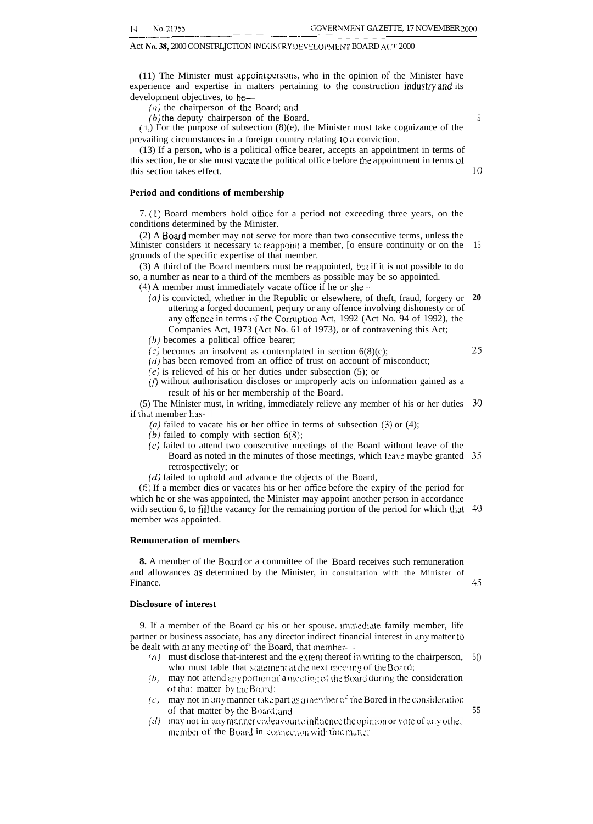# Act No. 38, 2000 CONSTRLJCTION INDUSTRY DEVELOPMENT BOARD ACT 2000

(11) The Minister must appoint persona, who in the opinion of the Minister have experience and expertise in matters pertaining to the construction industry and its development objectives, to be–-

 $(a)$  the chairperson of the Board; and

 $(b)$  the deputy chairperson of the Board.

 $(1<sub>2</sub>)$  For the purpose of subsection  $(8)(e)$ , the Minister must take cognizance of the prevailing circumstances in a foreign country relating to a conviction.

(13) If a person, who is a political office bearer, accepts an appointment in terms of this section, he or she must vacate the political office before the appointment in terms of this section takes effect.

# **Period and conditions of membership**

7. (1) Board members hold oflice for a period not exceeding three years, on the conditions determined by the Minister.

(2) A Board member may not serve for more than two consecutive terms, unless the Minister considers it necessary to reappoint a member, [o ensure continuity or on the grounds of the specific expertise of that member. 15

(3) A third of the Board members must be reappointed, but if it is not possible to do so, a number as near to a third of the members as possible may be so appointed.

(4) A member must immediately vacate office if he or she—

- (a) is convicted, whether in the Republic or elsewhere, of theft, fraud, forgery or **20** uttering a forged document, perjury or any offence involving dishonesty or of any offence in terms of the Corruption Act, 1992 (Act No. 94 of 1992), the Companies Act, 1973 (Act No. 61 of 1973), or of contravening this Act;
- (b) becomes a political office bearer;
- $(c)$  becomes an insolvent as contemplated in section  $6(8)(c)$ ;
- (d) has been removed from an office of trust on account of misconduct;
- (e) is relieved of his or her duties under subsection (5); or
- (f) without authorisation discloses or improperly acts on information gained as a result of his or her membership of the Board.

(5) The Minister must, in writing, immediately relieve any member of his or her duties **30** if that member has-–

(a) failed to vacate his or her office in terms of subsection  $(3)$  or  $(4)$ ;

- (b) failed to comply with section  $6(8)$ ;
- (c) failed to attend two consecutive meetings of the Board without leave of the Board as noted in the minutes of those meetings, which leave maybe granted **35** retrospectively; or
- (d) failed to uphold and advance the objects of the Board,

(6) If a member dies or vacates his or her office before the expiry of the period for which he or she was appointed, the Minister may appoint another person in accordance with section 6, to fill the vacancy for the remaining portion of the period for which that **40** member was appointed.

# **Remuneration of members**

**8.** A member of the Board or a committee of the Board receives such remuneration and allowances as determined by the Minister, in consultation with the Minister of Finance. 45

# **Disclosure of interest**

9. If a member of the Board or his or her spouse. immediate family member, life partner or business associate, has any director indirect financial interest in any matter to be dealt with at any meeting of' the Board, that member-

- (a) must disclose that-interest and the extent thereof in writing to the chairperson, who must table that statement at the next meeting of the Board; 5()
- (b) may not attend any portion of a meeting of the Board during the consideration of that matter by the Board:
- (c) may not in any manner take part as a member of the Bored in the consideration of that matter by the Board; and
- $(d)$  -may not in any manner endeavour to influence the opinion or vote of any other member of the Board in connection with that matter.

55

10

**25**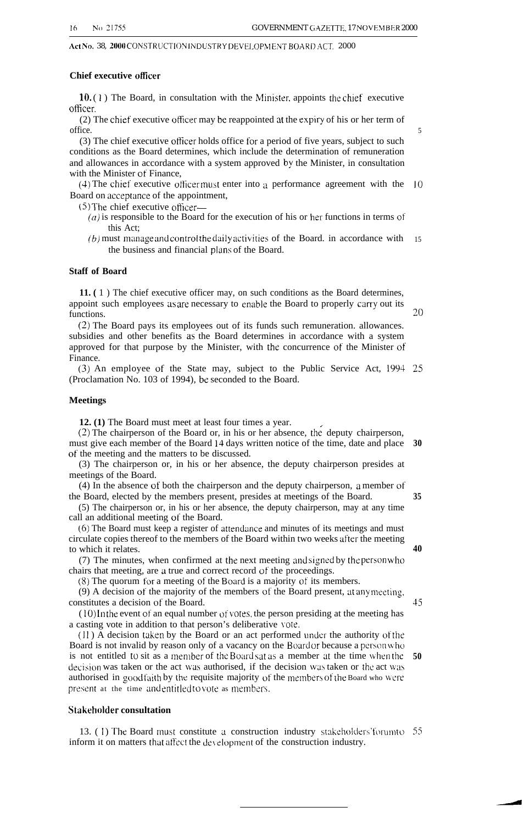Act No. 38, 2000 CONSTRUCTION INDUSTRY DEVELOPM ENT BOARD ACT. 2000

# **Chief executive oficer**

 $10. (1)$  The Board, in consultation with the Minister, appoints the chief executive ofticer.

(2) The chief executive oflicer may be reappointed at the expiry of his or her term of office.

(3) The chief executive ofticer holds office for a period of five years, subject to such conditions as the Board determines, which include the determination of remuneration and allowances in accordance with a system approved by the Minister, in consultation with the Minister of Finance,

 $(4)$  The chief executive officer must enter into a performance agreement with the 10 Board on acceptance of the appointment,

(5) The chief executive ofticer\_

- $(a)$  is responsible to the Board for the execution of his or her functions in terms of this Act;
- $(b)$  must manage and control the daily activities of the Board. in accordance with the business and financial plans of the Board. 15

# **Staff of Board**

**11. (** 1 ) The chief executive officer may, on such conditions as the Board determines, appoint such employees as are necessary to enable the Board to properly carry out its functions.

(2) The Board pays its employees out of its funds such remuneration. allowances. subsidies and other benefits as the Board determines in accordance with a system approved for that purpose by the Minister, with the concurrence of the Minister of Finance.

(3) An employee of the State may, subject to the Public Service Act, 1994 25 (Proclamation No. 103 of 1994), be seconded to the Board.

# **Meetings**

**12. (1)** The Board must meet at least four times a year.

 $(2)$  The chairperson of the Board or, in his or her absence, the deputy chairperson, must give each member of the Board 14 days written notice of the time, date and place **30** of' the meeting and the matters to be discussed.

(3) The chairperson or, in his or her absence, the deputy chairperson presides at meetings of the Board.

(4) In the absence of both the chairperson and the deputy chairperson, a member of the Board, elected by the members present, presides at meetings of the Board. **35**

(5) The chairperson or, in his or her absence, the deputy chairperson, may at any time call an additional meeting of the Board.

(6) The Board must keep a register of attendance and minutes of its meetings and must circulate copies thereof to the members of the Board within two weeks after the meeting to which it relates.

(7) The minutes, when confirmed at the next meeting and signed by the person who chairs that meeting, are a true and correct record of the proceedings.

(8) The quorum for a meeting of the Board is a majority of its members.

(9) A decision of the majority of the members of the Board present, at any meeting, constitutes a decision of the Board.

 $(10)$  In the event of an equal number of votes, the person presiding at the meeting has a casting vote in addition to that person's deliberative vote.

 $(11)$  A decision taken by the Board or an act performed under the authority of the Board is not invalid by reason only of a vacancy on the Board or because a person who is not entitled to sit as a member of the Board sat as a member at the time when the  $50$ decision was taken or the act was authorised, if the decision was taken or the act was authorised in good faith by the requisite majority of the members of the Board who were present at the time and entitled to vote as members.

# **Stakeholder consultation**

13. (1) The Board must constitute a construction industry stakeholders' forum to 55 inform it on matters that affect the development of the construction industry.

Z()

**40**

**45**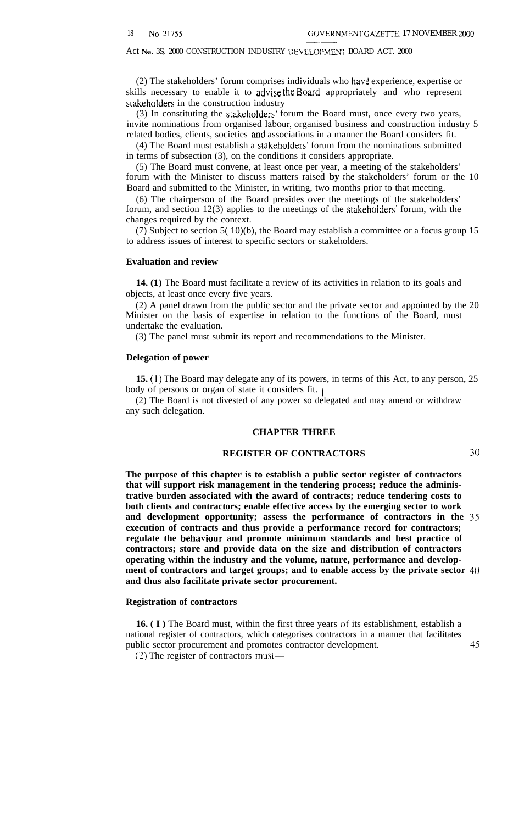Act No. 3S, 2000 CONSTRUCTION INDUSTRY DEVELOPMENT BOARD ACT. 2000

(2) The stakeholders' forum comprises individuals who have experience, expertise or skills necessary to enable it to  $q\bar{q}$  and appropriately and who represent stakeholders in the construction industry

(3) In constituting the stakeholders' forum the Board must, once every two years, invite nominations from organised labour, organised business and construction industry 5 related bodies, clients, societies and associations in a manner the Board considers fit.

(4) The Board must establish a stakeholders' forum from the nominations submitted in terms of subsection (3), on the conditions it considers appropriate.

(5) The Board must convene, at least once per year, a meeting of the stakeholders' forum with the Minister to discuss matters raised **by** the stakeholders' forum or the 10 Board and submitted to the Minister, in writing, two months prior to that meeting.

(6) The chairperson of the Board presides over the meetings of the stakeholders' forum, and section 12(3) applies to the meetings of the stakeholders' forum, with the changes required by the context.

(7) Subject to section 5( 10)(b), the Board may establish a committee or a focus group 15 to address issues of interest to specific sectors or stakeholders.

# **Evaluation and review**

**14. (1)** The Board must facilitate a review of its activities in relation to its goals and objects, at least once every five years.

(2) A panel drawn from the public sector and the private sector and appointed by the 20 Minister on the basis of expertise in relation to the functions of the Board, must undertake the evaluation.

(3) The panel must submit its report and recommendations to the Minister.

# **Delegation of power**

**15. (1)** The Board may delegate any of its powers, in terms of this Act, to any person, 25 body of persons or organ of state it considers fit.

(2) The Board is not divested of any power so delegated and may amend or withdraw any such delegation.

# **CHAPTER THREE**

# **REGISTER OF CONTRACTORS 30**

**The purpose of this chapter is to establish a public sector register of contractors that will support risk management in the tendering process; reduce the administrative burden associated with the award of contracts; reduce tendering costs to both clients and contractors; enable effective access by the emerging sector to work and development opportunity; assess the performance of contractors in the** 35 **execution of contracts and thus provide a performance record for contractors; regulate the behaviour and promote minimum standards and best practice of contractors; store and provide data on the size and distribution of contractors operating within the industry and the volume, nature, performance and development of contractors and target groups; and to enable access by the private sector 40 and thus also facilitate private sector procurement.**

# **Registration of contractors**

16. (I) The Board must, within the first three years of its establishment, establish a national register of contractors, which categorises contractors in a manner that facilitates public sector procurement and promotes contractor development. 45

(2) The register of contractors must—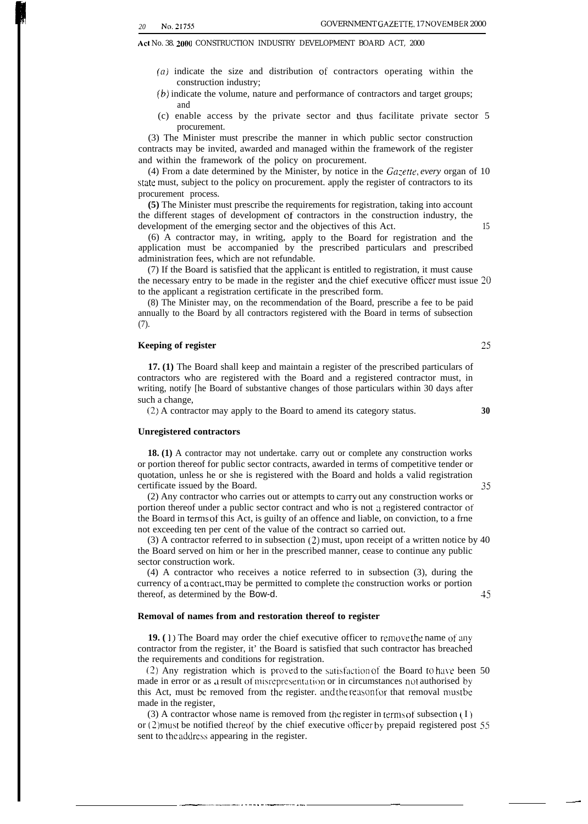Act No. 38. 2000 CONSTRUCTION INDUSTRY DEVELOPMENT BOARD ACT, 2000

- (a) indicate the size and distribution of contractors operating within the construction industry;
- (b} indicate the volume, nature and performance of contractors and target groups; and
- (c) enable access by the private sector and thus facilitate private sector 5 procurement.

(3) The Minister must prescribe the manner in which public sector construction contracts may be invited, awarded and managed within the framework of the register and within the framework of the policy on procurement.

(4) From a date determined by the Minister, by notice in the *Gazette, every* organ of 10 state must, subject to the policy on procurement. apply the register of contractors to its procurement process.

**(5)** The Minister must prescribe the requirements for registration, taking into account the different stages of development of contractors in the construction industry, the development of the emerging sector and the objectives of this Act. 15

(6) A contractor may, in writing, apply to the Board for registration and the application must be accompanied by the prescribed particulars and prescribed administration fees, which are not refundable.

(7) If the Board is satisfied that the applicant is entitled to registration, it must cause the necessary entry to be made in the register aqd the chief executive oficer must issue 20 to the applicant a registration certificate in the prescribed form.

(8) The Minister may, on the recommendation of the Board, prescribe a fee to be paid annually to the Board by all contractors registered with the Board in terms of subsection (7).

# **Keeping of register 25**

**17. (1)** The Board shall keep and maintain a register of the prescribed particulars of contractors who are registered with the Board and a registered contractor must, in writing, notify [he Board of substantive changes of those particulars within 30 days after such a change,

(2) A contractor may apply to the Board to amend its category status. **30**

# **Unregistered contractors**

**18. (1)** A contractor may not undertake. carry out or complete any construction works or portion thereof for public sector contracts, awarded in terms of competitive tender or quotation, unless he or she is registered with the Board and holds a valid registration certificate issued by the Board. 35

(2) Any contractor who carries out or attempts to carry out any construction works or portion thereof under a public sector contract and who is not a registered contractor of the Board in terms of this Act, is guilty of an offence and liable, on conviction, to a frne not exceeding ten per cent of the value of the contract so carried out.

(3) A contractor referred to in subsection (2) must, upon receipt of a written notice by 40 the Board served on him or her in the prescribed manner, cease to continue any public sector construction work.

(4) A contractor who receives a notice referred to in subsection (3), during the currency of a contract, may be permitted to complete the construction works or portion thereof, as determined by the Bow-d. 45

# **Removal of names from and restoration thereof to register**

**19.** (1) The Board may order the chief executive officer to remove the name of any contractor from the register, it' the Board is satisfied that such contractor has breached the requirements and conditions for registration.

(2) Any registration which is proved to the satisfaction of the Board to have been  $50$ made in error or as a result of misrepresentation or in circumstances not authorised by this Act, must be removed from the register. and the reason for that removal must be made in the register,

(3) A contractor whose name is removed from the register in terms of subsection  $(1)$ or (2) must be notified thereof by the chief executive officer by prepaid registered post  $55$ sent to the address appearing in the register.

.——.———. . . . . . . ..—..—.— .—. — —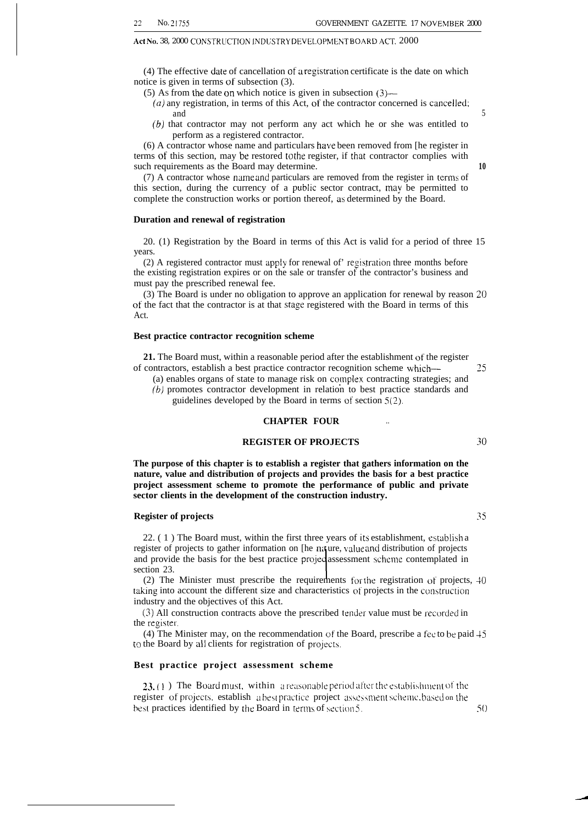## Act No. 38, 2000 CONSTRUCTION INDUSTRY DEVELOPMENT BOARD ACT. 2000

 $(4)$  The effective date of cancellation of a registration certificate is the date on which notice is given in terms of subsection (3).

- (5) AS from the date on which notice is given in subsection (3)—
	- *(a)* any registration, in terms of this Act, of the contractor concerned is cancelled; and 5
	- (b) that contractor may not perform any act which he or she was entitled to perform as a registered contractor.

(6) A contractor whose name and particulars ha\e been removed from [he register in terms of this section, may be restored to the register, if that contractor complies with such requirements as the Board may determine. **10** 

 $(7)$  A contractor whose name and particulars are removed from the register in terms of this section, during the currency of a public sector contract, may be permitted to complete the construction works or portion thereof, as determined by the Board.

# **Duration and renewal of registration**

20. (1) Registration by the Board in terms of this Act is valid for a period of three 15 years.

 $(2)$  A registered contractor must apply for renewal of' registration three months before the existing registration expires or on the sale or transfer of the contractor's business and must pay the prescribed renewal fee.

(3) The Board is under no obligation to approve an application for renewal by reason 20 of the fact that the contractor is at that stage registered with the Board in terms of this Act.

# **Best practice contractor recognition scheme**

**21.** The Board must, within a reasonable period after the establishment of the register of contractors, establish a best practice contractor recognition scheme whicb— 25

(a) enables organs of state to manage risk on complex contracting strategies; and (b) promotes contractor development in relation to best practice standards and guidelines developed by the Board in terms of section 5(2).

# **CHAPTER FOUR . .**

# **REGISTER OF PROJECTS 30**

**The purpose of this chapter is to establish a register that gathers information on the nature, value and distribution of projects and provides the basis for a best practice project assessment scheme to promote the performance of public and private sector clients in the development of the construction industry.**

# **Register of projects 35**

22. ( 1 ) The Board must, within the first three years of its establishment, establisb a register of projects to gather information on [he na ure, value and distribution of projects and provide the basis for the best practice projectassessment scheme contemplated in section 23.

(2) The Minister must prescribe the requirements for the registration of projects, 40 taking into account the different size and characteristics of projects in the comtruction industry and the objectives of this Act.

(3) All construction contracts above the prescribed tender value must be recorded in the register.

(4) The Minister may, on the recommendation of the Board, prescribe a fee to be paid 45 to the Board by all clients for registration of projects.

# **Best practice project assessment scheme**

**23.** (1) The Board must, within a reasonable period after the establishment of the register of projects, establish a best practice project assessment scheme, based on the best practices identified by the Board in terms of section  $5$ .  $5()$ 

-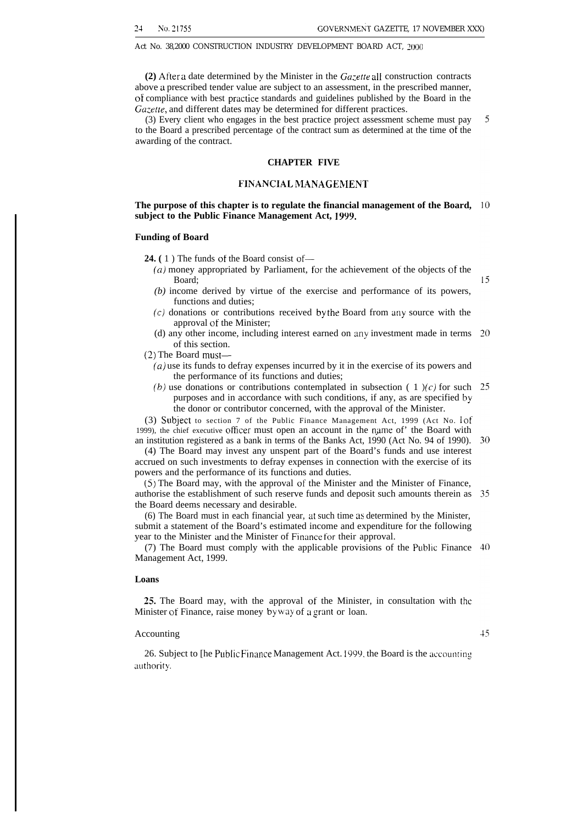# Act No. 38,2000 CONSTRUCTION INDUSTRY DEVELOPMENT BOARD ACT, 2000

(2) After a date determined by the Minister in the  $Gazette$  all construction contracts above a prescribed tender value are subject to an assessment, in the prescribed manner, of compliance with best practice standards and guidelines published by the Board in the *Gazetre,* and different dates may be determined for different practices.

(3) Every client who engages in the best practice project assessment scheme must pay to the Board a prescribed percentage of the contract sum as determined at the time of the awarding of the contract.

# **CHAPTER FIVE**

# **FINANCIAI, MANAGEIvIENT**

# **The purpose of this chapter is to regulate the financial management of the Board, subject to the Public Finance Management Act, 1999.**

# **Funding of Board**

**24. (** 1 ) The funds of the Board consist of—

- $(a)$  money appropriated by Parliament, for the achievement of the objects of the Board;
- *(b)* income derived by virtue of the exercise and performance of its powers, functions and duties;
- (c) donations or contributions received by the Board from any source with the approval of the Minister;
- (d) any other income, including interest earned on any investment made in terms of this section.

(2) The Board must—

- (a) use its funds to defray expenses incurred by it in the exercise of its powers and the performance of its functions and duties;
- (b) use donations or contributions contemplated in subsection  $(1)$  / $(c)$  for such 25 purposes and in accordance with such conditions, if any, as are specified by the donor or contributor concerned, with the approval of the Minister.

(3) Subject to section 7 of the Public Finance Management Act, 1999 (Act No. 1 of 1999), the chief executive officer must open an account in the name of' the Board with an institution registered as a bank in terms of the Banks Act, 1990 (Act No. 94 of 1990).

(4) The Board may invest any unspent part of the Board's funds and use interest accrued on such investments to defray expenses in connection with the exercise of its powers and the performance of its functions and duties.

(5) The Board may, with the approval of the Minister and the Minister of Finance, authorise the establishment of such reserve funds and deposit such amounts therein as the Board deems necessary and desirable.

 $(6)$  The Board must in each financial year, at such time as determined by the Minister, submit a statement of the Board's estimated income and expenditure for the following year to the Minister and the Minister of Fimmce for their approval.

(7) The Board must comply with the applicable provisions of the Public Finance  $40$ Management Act, 1999.

# **Loans**

**25.** The Board may, with the approval of the Minister, in consultation with the Minister of Finance, raise money by way of a grant or loan.

# Accounting

 $+5$ 

5

 $15$ 

26. Subject to [he Public Finance Management Act. 1999, the Board is the accounting authority.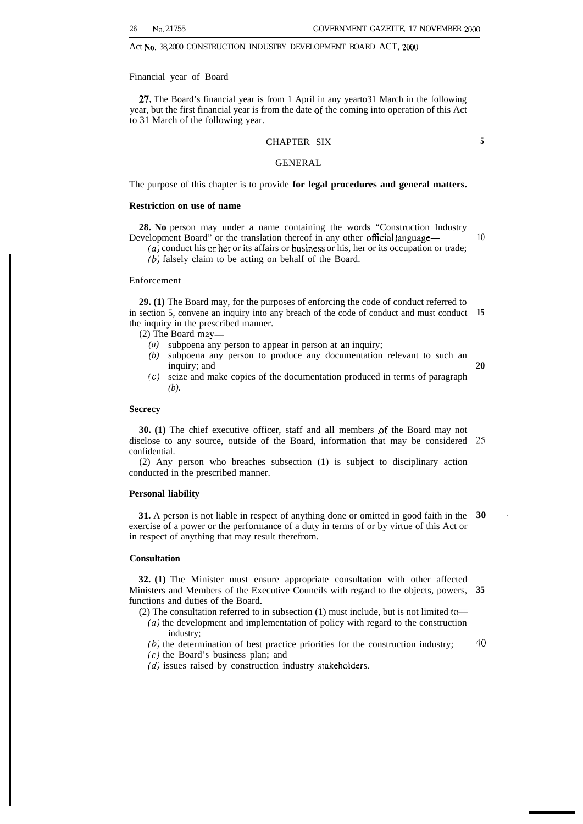**5**

10

**20**

Act No. 38,2000 CONSTRUCTION INDUSTRY DEVELOPMENT BOARD ACT, 2000

Financial year of Board

27. The Board's financial year is from 1 April in any yearto31 March in the following year, but the first financial year is from the date of the coming into operation of this Act to 31 March of the following year.

# CHAPTER SIX

# GENERAL

The purpose of this chapter is to provide **for legal procedures and general matters.**

# **Restriction on use of name**

**28. No** person may under a name containing the words "Construction Industry Development Board" or the translation thereof in any other official language—

 $(a)$  conduct his or her or its affairs or business or his, her or its occupation or trade; (b) falsely claim to be acting on behalf of the Board.

# Enforcement

**29. (1)** The Board may, for the purposes of enforcing the code of conduct referred to in section 5, convene an inquiry into any breach of the code of conduct and must conduct **15** the inquiry in the prescribed manner.

(2) The Board may—

- *(a)* subpoena any person to appear in person at an inquiry;
- *(b)* subpoena any person to produce any documentation relevant to such an inquiry; and
- *(c)* seize and make copies of the documentation produced in terms of paragraph *(b).*

# **Secrecy**

**30.** (1) The chief executive officer, staff and all members of the Board may not disclose to any source, outside of the Board, information that may be considered **25** confidential.

(2) Any person who breaches subsection (1) is subject to disciplinary action conducted in the prescribed manner.

# **Personal liability**

**31.** A person is not liable in respect of anything done or omitted in good faith in the exercise of a power or the performance of a duty in terms of or by virtue of this Act or in respect of anything that may result therefrom. **30 ~**

# **Consultation**

**32. (1)** The Minister must ensure appropriate consultation with other affected Ministers and Members of the Executive Councils with regard to the objects, powers, functions and duties of the Board. **35**

- (2) The consultation referred to in subsection (1) must include, but is not limited to—
	- *(a)* the development and implementation of policy with regard to the construction industry;

*(b)* the determination of best practice priorities for the construction industry; **40**

(c) the Board's business plan; and

 $(d)$  issues raised by construction industry stakeholders.